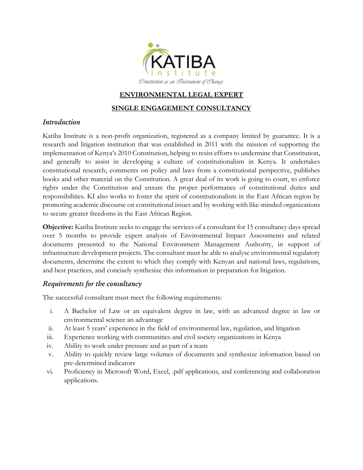

#### **ENVIRONMENTAL LEGAL EXPERT**

#### **SINGLE ENGAGEMENT CONSULTANCY**

#### *Introduction*

Katiba Institute is a non-profit organization, registered as a company limited by guarantee. It is a research and litigation institution that was established in 2011 with the mission of supporting the implementation of Kenya's 2010 Constitution, helping to resist efforts to undermine that Constitution, and generally to assist in developing a culture of constitutionalism in Kenya. It undertakes constitutional research, comments on policy and laws from a constitutional perspective, publishes books and other material on the Constitution. A great deal of its work is going to court, to enforce rights under the Constitution and ensure the proper performance of constitutional duties and responsibilities. KI also works to foster the spirit of constitutionalism in the East African region by promoting academic discourse on constitutional issues and by working with like-minded organizations to secure greater freedoms in the East African Region.

**Objective:** Katiba Institute seeks to engage the services of a consultant for 15 consultancy days spread over 5 months to provide expert analysis of Environmental Impact Assessments and related documents presented to the National Environment Management Authority, in support of infrastructure development projects. The consultant must be able to analyse environmental regulatory documents, determine the extent to which they comply with Kenyan and national laws, regulations, and best practices, and concisely synthesize this information in preparation for litigation.

### *Requirements for the consultancy*

The successful consultant must meet the following requirements:

- i. A Bachelor of Law or an equivalent degree in law, with an advanced degree in law or environmental science an advantage
- ii. At least 5 years' experience in the field of environmental law, regulation, and litigation
- iii. Experience working with communities and civil society organizations in Kenya
- iv. Ability to work under pressure and as part of a team
- v. Ability to quickly review large volumes of documents and synthesize information based on pre-determined indicators
- vi. Proficiency in Microsoft Word, Excel, .pdf applications, and conferencing and collaboration applications.